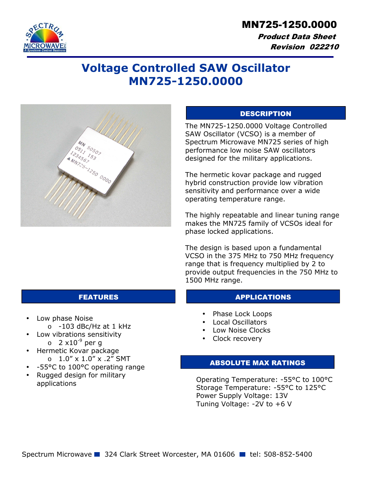

 Product Data Sheet Revision 022210

# **Voltage Controlled SAW Oscillator MN725-1250.0000**



## **DESCRIPTION**

The MN725-1250.0000 Voltage Controlled SAW Oscillator (VCSO) is a member of Spectrum Microwave MN725 series of high performance low noise SAW oscillators designed for the military applications.

The hermetic kovar package and rugged hybrid construction provide low vibration sensitivity and performance over a wide operating temperature range.

The highly repeatable and linear tuning range makes the MN725 family of VCSOs ideal for phase locked applications.

The design is based upon a fundamental VCSO in the 375 MHz to 750 MHz frequency range that is frequency multiplied by 2 to provide output frequencies in the 750 MHz to 1500 MHz range.

#### FEATURES APPLICATIONS

- Phase Lock Loops
- Local Oscillators
- Low Noise Clocks
- Clock recovery

#### ABSOLUTE MAX RATINGS

Operating Temperature: -55°C to 100°C Storage Temperature: -55°C to 125°C Power Supply Voltage: 13V Tuning Voltage: -2V to +6 V

- Low phase Noise
	- $\circ$  -103 dBc/Hz at 1 kHz
- Low vibrations sensitivity
	- $\circ$  2 x10<sup>-9</sup> per g
- Hermetic Kovar package  $0.1.0'' \times 1.0'' \times .2''$  SMT
- -55°C to 100°C operating range
- Rugged design for military applications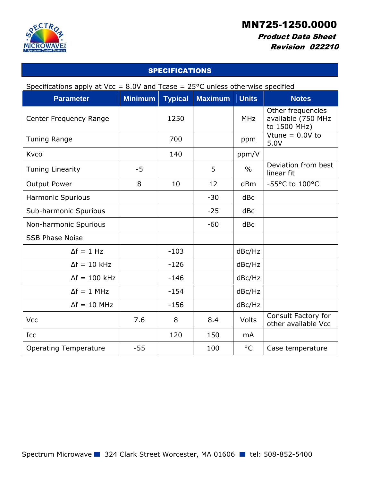

## Product Data Sheet Revision 022210

## SPECIFICATIONS

| Specifications apply at Vcc = $8.0V$ and Tcase = $25^{\circ}$ C unless otherwise specified |  |  |
|--------------------------------------------------------------------------------------------|--|--|
|                                                                                            |  |  |

| <b>Parameter</b>             | <b>Minimum</b> | <b>Typical</b> | <b>Maximum</b> | <b>Units</b>  | <b>Notes</b>                                            |
|------------------------------|----------------|----------------|----------------|---------------|---------------------------------------------------------|
| Center Frequency Range       |                | 1250           |                | <b>MHz</b>    | Other frequencies<br>available (750 MHz<br>to 1500 MHz) |
| <b>Tuning Range</b>          |                | 700            |                | ppm           | Vtune = $0.0V$ to<br>5.0V                               |
| Kvco                         |                | 140            |                | ppm/V         |                                                         |
| <b>Tuning Linearity</b>      | $-5$           |                | 5              | $\frac{0}{0}$ | Deviation from best<br>linear fit                       |
| <b>Output Power</b>          | 8              | 10             | 12             | dBm           | -55°C to 100°C                                          |
| <b>Harmonic Spurious</b>     |                |                | $-30$          | dBc           |                                                         |
| Sub-harmonic Spurious        |                |                | $-25$          | dBc           |                                                         |
| Non-harmonic Spurious        |                |                | $-60$          | dBc           |                                                         |
| <b>SSB Phase Noise</b>       |                |                |                |               |                                                         |
| $\Delta f = 1$ Hz            |                | $-103$         |                | dBc/Hz        |                                                         |
| $\Delta f = 10$ kHz          |                | $-126$         |                | dBc/Hz        |                                                         |
| $\Delta f = 100$ kHz         |                | $-146$         |                | dBc/Hz        |                                                         |
| $\Delta f = 1$ MHz           |                | $-154$         |                | dBc/Hz        |                                                         |
| $\Delta f = 10$ MHz          |                | $-156$         |                | dBc/Hz        |                                                         |
| Vcc                          | 7.6            | 8              | 8.4            | Volts         | Consult Factory for<br>other available Vcc              |
| Icc                          |                | 120            | 150            | <b>mA</b>     |                                                         |
| <b>Operating Temperature</b> | $-55$          |                | 100            | $^{\circ}$ C  | Case temperature                                        |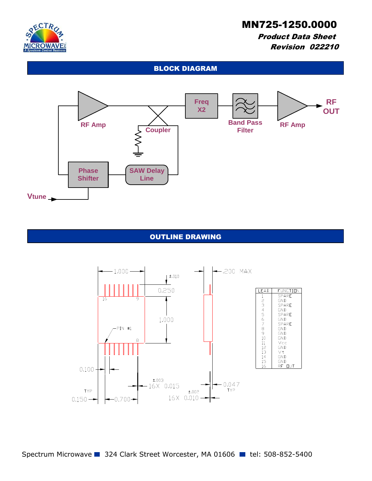

## Product Data Sheet Revision 022210

## BLOCK DIAGRAM



### OUTLINE DRAWING